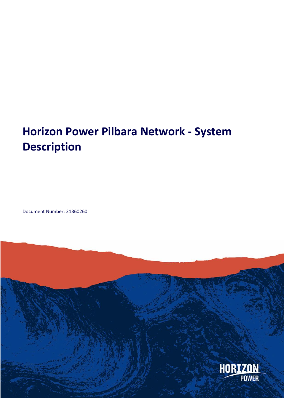# **Horizon Power Pilbara Network - System Description**

Document Number: 21360260

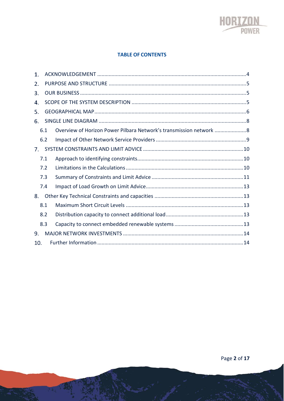

#### **TABLE OF CONTENTS**

| 1.  |     |                                                                  |  |
|-----|-----|------------------------------------------------------------------|--|
| 2.  |     |                                                                  |  |
| 3.  |     |                                                                  |  |
| 4.  |     |                                                                  |  |
| 5.  |     |                                                                  |  |
| 6.  |     |                                                                  |  |
|     | 6.1 | Overview of Horizon Power Pilbara Network's transmission network |  |
|     | 6.2 |                                                                  |  |
| 7.  |     |                                                                  |  |
|     | 7.1 |                                                                  |  |
|     | 7.2 |                                                                  |  |
|     | 7.3 |                                                                  |  |
|     | 7.4 |                                                                  |  |
| 8.  |     |                                                                  |  |
|     | 8.1 |                                                                  |  |
|     | 8.2 |                                                                  |  |
|     | 8.3 |                                                                  |  |
| 9.  |     |                                                                  |  |
| 10. |     |                                                                  |  |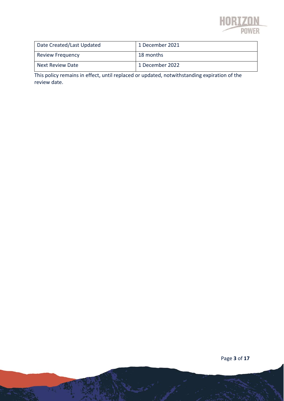

| Date Created/Last Updated | 1 December 2021 |
|---------------------------|-----------------|
| <b>Review Frequency</b>   | 18 months       |
| Next Review Date          | 1 December 2022 |

This policy remains in effect, until replaced or updated, notwithstanding expiration of the review date.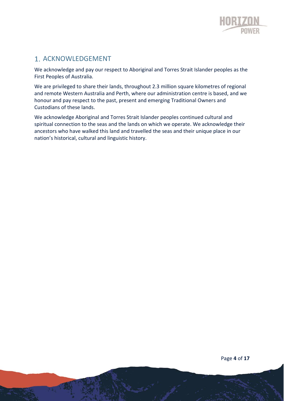

# 1. ACKNOWLEDGEMENT

We acknowledge and pay our respect to Aboriginal and Torres Strait Islander peoples as the First Peoples of Australia.

We are privileged to share their lands, throughout 2.3 million square kilometres of regional and remote Western Australia and Perth, where our administration centre is based, and we honour and pay respect to the past, present and emerging Traditional Owners and Custodians of these lands.

We acknowledge Aboriginal and Torres Strait Islander peoples continued cultural and spiritual connection to the seas and the lands on which we operate. We acknowledge their ancestors who have walked this land and travelled the seas and their unique place in our nation's historical, cultural and linguistic history.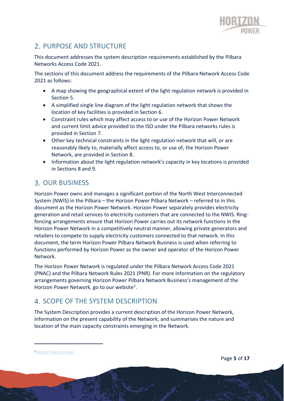

# 2. PURPOSE AND STRUCTURE

This document addresses the system description requirements established by the Pilbara Networks Access Code 2021.

The sections of this document address the requirements of the Pilbara Network Access Code 2021 as follows:

- A map showing the geographical extent of the light regulation network is provided in Section 5.
- A simplified single line diagram of the light regulation network that shows the location of key facilities is provided in Section 6.
- Constraint rules which may affect access to or use of the Horizon Power Network and current limit advice provided to the ISO under the Pilbara networks rules is provided in Section 7.
- Other key technical constraints in the light regulation network that will, or are reasonably likely to, materially affect access to, or use of, the Horizon Power Network, are provided in Section 8.
- Information about the light regulation network's capacity in key locations is provided in Sections 8 and 9.

# **3. OUR BUSINESS**

Horizon Power owns and manages a significant portion of the North West Interconnected System (NWIS) in the Pilbara – the Horizon Power Pilbara Network – referred to in this document as the Horizon Power Network. Horizon Power separately provides electricity generation and retail services to electricity customers that are connected to the NWIS. Ringfencing arrangements ensure that Horizon Power carries out its network functions in the Horizon Power Network in a competitively neutral manner, allowing private generators and retailers to compete to supply electricity customers connected to that network. In this document, the term Horizon Power Pilbara Network Business is used when referring to functions performed by Horizon Power as the owner and operator of the Horizon Power Network.

The Horizon Power Network is regulated under the Pilbara Network Access Code 2021 (PNAC) and the Pilbara Network Rules 2021 (PNR). For more information on the regulatory arrangements governing Horizon Power Pilbara Network Business's management of the Horizon Power Network, go to our website<sup>1</sup>.

# 4. SCOPE OF THE SYSTEM DESCRIPTION

The System Description provides a current description of the Horizon Power Network, information on the present capability of the Network, and summarises the nature and location of the main capacity constraints emerging in the Network.

<sup>1</sup> <https://nwis.com.au/>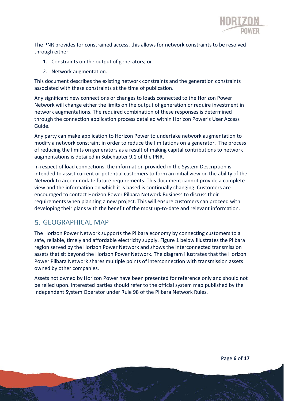

The PNR provides for constrained access, this allows for network constraints to be resolved through either:

- 1. Constraints on the output of generators; or
- 2. Network augmentation.

This document describes the existing network constraints and the generation constraints associated with these constraints at the time of publication.

Any significant new connections or changes to loads connected to the Horizon Power Network will change either the limits on the output of generation or require investment in network augmentations. The required combination of these responses is determined through the connection application process detailed within Horizon Power's User Access Guide.

Any party can make application to Horizon Power to undertake network augmentation to modify a network constraint in order to reduce the limitations on a generator. The process of reducing the limits on generators as a result of making capital contributions to network augmentations is detailed in Subchapter 9.1 of the PNR.

In respect of load connections, the information provided in the System Description is intended to assist current or potential customers to form an initial view on the ability of the Network to accommodate future requirements. This document cannot provide a complete view and the information on which it is based is continually changing. Customers are encouraged to contact Horizon Power Pilbara Network Business to discuss their requirements when planning a new project. This will ensure customers can proceed with developing their plans with the benefit of the most up-to-date and relevant information.

# GEOGRAPHICAL MAP

The Horizon Power Network supports the Pilbara economy by connecting customers to a safe, reliable, timely and affordable electricity supply. Figure 1 below illustrates the Pilbara region served by the Horizon Power Network and shows the interconnected transmission assets that sit beyond the Horizon Power Network. The diagram illustrates that the Horizon Power Pilbara Network shares multiple points of interconnection with transmission assets owned by other companies.

Assets not owned by Horizon Power have been presented for reference only and should not be relied upon. Interested parties should refer to the official system map published by the Independent System Operator under Rule 98 of the Pilbara Network Rules.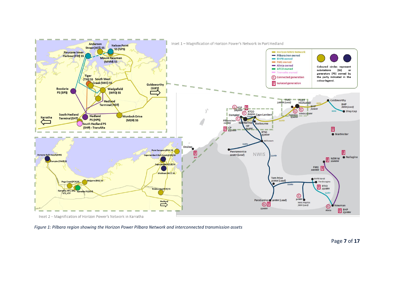

Inset 2 - Magnification of Horizon Power's Network in Karratha

*Figure 1: Pilbara region showing the Horizon Power Pilbara Network and interconnected transmission assets*

Page **7** of **17**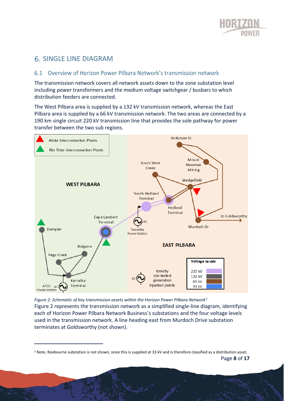

# SINGLE LINE DIAGRAM

#### 6.1 Overview of Horizon Power Pilbara Network's transmission network

The transmission network covers all network assets down to the zone substation level including power transformers and the medium voltage switchgear / busbars to which distribution feeders are connected.

The West Pilbara area is supplied by a 132 kV transmission network, whereas the East Pilbara area is supplied by a 66 kV transmission network. The two areas are connected by a 190 km single circuit 220 kV transmission line that provides the sole pathway for power transfer between the two sub regions.



*Figure 2: Schematic of key transmission assets within the Horizon Power Pilbara Network<sup>2</sup>* Figure 2 represents the transmission network as a simplified single-line diagram, identifying each of Horizon Power Pilbara Network Business's substations and the four voltage levels used in the transmission network. A line heading east from Murdoch Drive substation terminates at Goldsworthy (not shown).

Page **8** of **17** <sup>2</sup> Note, Roebourne substation is not shown, since this is supplied at 33 kV and is therefore classified as a distribution asset.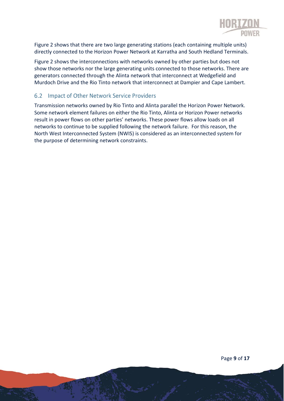

Figure 2 shows that there are two large generating stations (each containing multiple units) directly connected to the Horizon Power Network at Karratha and South Hedland Terminals.

Figure 2 shows the interconnections with networks owned by other parties but does not show those networks nor the large generating units connected to those networks. There are generators connected through the Alinta network that interconnect at Wedgefield and Murdoch Drive and the Rio Tinto network that interconnect at Dampier and Cape Lambert.

### 6.2 Impact of Other Network Service Providers

Transmission networks owned by Rio Tinto and Alinta parallel the Horizon Power Network. Some network element failures on either the Rio Tinto, Alinta or Horizon Power networks result in power flows on other parties' networks. These power flows allow loads on all networks to continue to be supplied following the network failure. For this reason, the North West Interconnected System (NWIS) is considered as an interconnected system for the purpose of determining network constraints.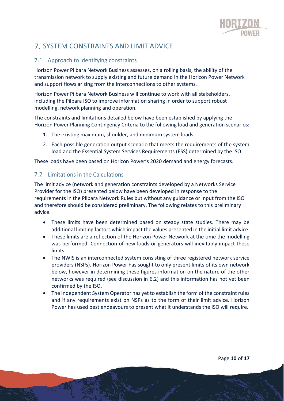

# SYSTEM CONSTRAINTS AND LIMIT ADVICE

#### 7.1 Approach to identifying constraints

Horizon Power Pilbara Network Business assesses, on a rolling basis, the ability of the transmission network to supply existing and future demand in the Horizon Power Network and support flows arising from the interconnections to other systems.

Horizon Power Pilbara Network Business will continue to work with all stakeholders, including the Pilbara ISO to improve information sharing in order to support robust modelling, network planning and operation.

The constraints and limitations detailed below have been established by applying the Horizon Power Planning Contingency Criteria to the following load and generation scenarios:

- 1. The existing maximum, shoulder, and minimum system loads.
- 2. Each possible generation output scenario that meets the requirements of the system load and the Essential System Services Requirements (ESS) determined by the ISO.

These loads have been based on Horizon Power's 2020 demand and energy forecasts.

#### 7.2 Limitations in the Calculations

The limit advice (network and generation constraints developed by a Networks Service Provider for the ISO) presented below have been developed in response to the requirements in the Pilbara Network Rules but without any guidance or input from the ISO and therefore should be considered preliminary. The following relates to this preliminary advice.

- These limits have been determined based on steady state studies. There may be additional limiting factors which impact the values presented in the initial limit advice.
- These limits are a reflection of the Horizon Power Network at the time the modelling was performed. Connection of new loads or generators will inevitably impact these limits.
- The NWIS is an interconnected system consisting of three registered network service providers (NSPs). Horizon Power has sought to only present limits of its own network below, however in determining these figures information on the nature of the other networks was required (see discussion in 6.2) and this information has not yet been confirmed by the ISO.
- The Independent System Operator has yet to establish the form of the constraint rules and if any requirements exist on NSPs as to the form of their limit advice. Horizon Power has used best endeavours to present what it understands the ISO will require.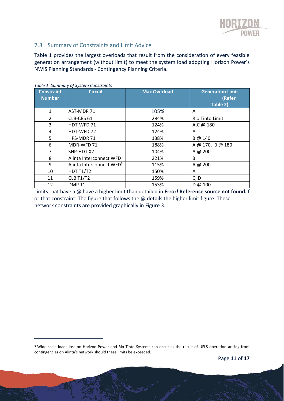

### 7.3 Summary of Constraints and Limit Advice

Table 1 provides the largest overloads that result from the consideration of every feasible generation arrangement (without limit) to meet the system load adopting Horizon Power's NWIS Planning Standards - Contingency Planning Criteria.

| <b>Constraint</b><br><b>Number</b> | <b>Circuit</b>                       | <b>Max Overload</b> | <b>Generation Limit</b><br>(Refer<br>Table 2) |
|------------------------------------|--------------------------------------|---------------------|-----------------------------------------------|
| 1                                  | AST-MDR 71                           | 105%                | A                                             |
| $\mathcal{P}$                      | CLB-CBS 61                           | 284%                | Rio Tinto Limit                               |
| 3                                  | HDT-WFD 71                           | 124%                | A,C @ 180                                     |
| 4                                  | HDT-WFD 72                           | 124%                | A                                             |
| 5                                  | HPS-MDR 71                           | 138%                | B @ 140                                       |
| 6                                  | MDR-WFD 71                           | 188%                | A @ 170, B @ 180                              |
| 7                                  | SHP-HDT X2                           | 104%                | A @ 200                                       |
| 8                                  | Alinta Interconnect WFD <sup>3</sup> | 221%                | B                                             |
| 9                                  | Alinta Interconnect WFD <sup>3</sup> | 115%                | A @ 200                                       |
| 10                                 | <b>HDT T1/T2</b>                     | 150%                | A                                             |
| 11                                 | <b>CLB T1/T2</b>                     | 159%                | C, D                                          |
| 12                                 | DMP <sub>T1</sub>                    | 153%                | D @ 100                                       |

*Table 1: Summary of System Constraints*

Limits that have a @ have a higher limit than detailed in **Error! Reference source not found.** f or that constraint. The figure that follows the  $@$  details the higher limit figure. These network constraints are provided graphically in Figure 3.

<sup>&</sup>lt;sup>3</sup> Wide scale loads loss on Horizon Power and Rio Tinto Systems can occur as the result of UFLS operation arising from contingencies on Alinta's network should these limits be exceeded.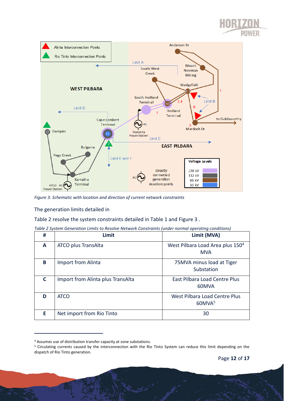



*Figure 3: Schematic with location and direction of current network constraints*

#### The generation limits detailed in

Table 2 resolve the system constraints detailed in Table 1 and Figure 3 .

| # | Limit                             | Limit (MVA)                                                |
|---|-----------------------------------|------------------------------------------------------------|
| A | ATCO plus TransAlta               | West Pilbara Load Area plus 150 <sup>4</sup><br><b>MVA</b> |
| B | Import from Alinta                | 75MVA minus load at Tiger<br>Substation                    |
| C | Import from Alinta plus TransAlta | <b>East Pilbara Load Centre Plus</b><br>60MVA              |
| D | <b>ATCO</b>                       | West Pilbara Load Centre Plus<br>60MVA <sup>5</sup>        |
| E | Net import from Rio Tinto         | 30                                                         |

| Table 2 System Generation Limits to Resolve Network Constraints (under normal operating conditions) |  |  |  |
|-----------------------------------------------------------------------------------------------------|--|--|--|
|                                                                                                     |  |  |  |

فتحصيت

<sup>4</sup> Assumes use of distribution transfer capacity at zone substations.

<sup>5</sup> Circulating currents caused by the interconnection with the Rio Tinto System can reduce this limit depending on the dispatch of Rio Tinto generation.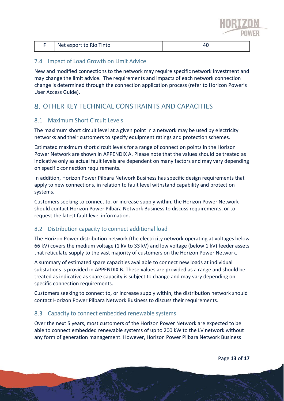

|  | Net export to Rio Tinto | rv. |
|--|-------------------------|-----|
|--|-------------------------|-----|

#### 7.4 Impact of Load Growth on Limit Advice

New and modified connections to the network may require specific network investment and may change the limit advice. The requirements and impacts of each network connection change is determined through the connection application process (refer to Horizon Power's User Access Guide).

# OTHER KEY TECHNICAL CONSTRAINTS AND CAPACITIES

#### 8.1 Maximum Short Circuit Levels

The maximum short circuit level at a given point in a network may be used by electricity networks and their customers to specify equipment ratings and protection schemes.

Estimated maximum short circuit levels for a range of connection points in the Horizon Power Network are shown in APPENDIX A. Please note that the values should be treated as indicative only as actual fault levels are dependent on many factors and may vary depending on specific connection requirements.

In addition, Horizon Power Pilbara Network Business has specific design requirements that apply to new connections, in relation to fault level withstand capability and protection systems.

Customers seeking to connect to, or increase supply within, the Horizon Power Network should contact Horizon Power Pilbara Network Business to discuss requirements, or to request the latest fault level information.

#### Distribution capacity to connect additional load  $8.2$

The Horizon Power distribution network (the electricity network operating at voltages below 66 kV) covers the medium voltage (1 kV to 33 kV) and low voltage (below 1 kV) feeder assets that reticulate supply to the vast majority of customers on the Horizon Power Network.

A summary of estimated spare capacities available to connect new loads at individual substations is provided in APPENDIX B. These values are provided as a range and should be treated as indicative as spare capacity is subject to change and may vary depending on specific connection requirements.

Customers seeking to connect to, or increase supply within, the distribution network should contact Horizon Power Pilbara Network Business to discuss their requirements.

#### 8.3 Capacity to connect embedded renewable systems

Over the next 5 years, most customers of the Horizon Power Network are expected to be able to connect embedded renewable systems of up to 200 kW to the LV network without any form of generation management. However, Horizon Power Pilbara Network Business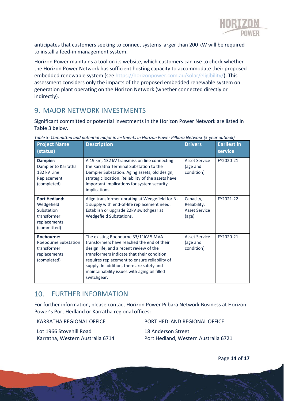

anticipates that customers seeking to connect systems larger than 200 kW will be required to install a feed-in management system.

Horizon Power maintains a tool on its website, which customers can use to check whether the Horizon Power Network has sufficient hosting capacity to accommodate their proposed embedded renewable system (see [https://horizonpower.com.au/solar/eligibility/\)](https://horizonpower.com.au/solar/eligibility/). This assessment considers only the impacts of the proposed embedded renewable system on generation plant operating on the Horizon Network (whether connected directly or indirectly).

# 9. MAJOR NETWORK INVESTMENTS

Significant committed or potential investments in the Horizon Power Network are listed in Table 3 below.

| <b>Project Name</b><br>(status)                                                                | <b>Description</b>                                                                                                                                                                                                                                                                                                                       | <b>Drivers</b>                                             | <b>Earliest in</b><br>service |
|------------------------------------------------------------------------------------------------|------------------------------------------------------------------------------------------------------------------------------------------------------------------------------------------------------------------------------------------------------------------------------------------------------------------------------------------|------------------------------------------------------------|-------------------------------|
| Dampier:<br>Dampier to Karratha<br>132 kV Line<br>Replacement<br>(completed)                   | A 19 km, 132 kV transmission line connecting<br>the Karratha Terminal Substation to the<br>Dampier Substation. Aging assets, old design,<br>strategic location. Reliability of the assets have<br>important implications for system security<br>implications.                                                                            | <b>Asset Service</b><br>(age and<br>condition)             | FY2020-21                     |
| <b>Port Hedland:</b><br>Wedgefield<br>Substation<br>transformer<br>replacements<br>(committed) | Align transformer uprating at Wedgefield for N-<br>1 supply with end-of-life replacement need.<br>Establish or upgrade 22kV switchgear at<br>Wedgefield Substations.                                                                                                                                                                     | Capacity,<br>Reliability,<br><b>Asset Service</b><br>(age) | FY2021-22                     |
| Roebourne:<br>Roebourne Substation<br>transformer<br>replacements<br>(completed)               | The existing Roebourne 33/11kV 5 MVA<br>transformers have reached the end of their<br>design life, and a recent review of the<br>transformers indicate that their condition<br>requires replacement to ensure reliability of<br>supply. In addition, there are safety and<br>maintainability issues with aging oil filled<br>switchgear. | <b>Asset Service</b><br>(age and<br>condition)             | FY2020-21                     |

*Table 3: Committed and potential major investments in Horizon Power Pilbara Network (5-year outlook)*

# 10. FURTHER INFORMATION

For further information, please contact Horizon Power Pilbara Network Business at Horizon Power's Port Hedland or Karratha regional offices:

KARRATHA REGIONAL OFFICE

Lot 1966 Stovehill Road Karratha, Western Australia 6714 PORT HEDLAND REGIONAL OFFICE 18 Anderson Street Port Hedland, Western Australia 6721

Page **14** of **17**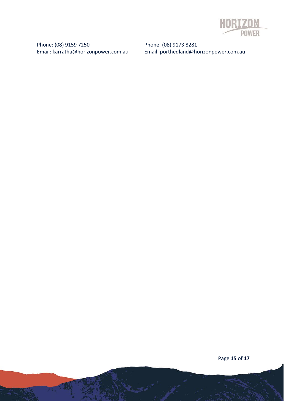

Phone: (08) 9159 7250 Email: karratha@horizonpower.com.au

Phone: (08) 9173 8281 Email: porthedland@horizonpower.com.au

Page **15** of **17**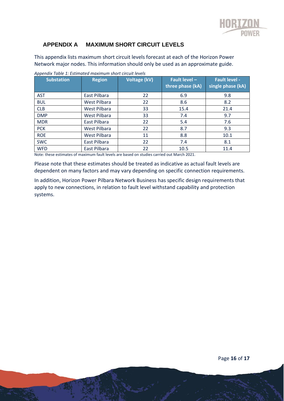

#### **APPENDIX A MAXIMUM SHORT CIRCUIT LEVELS**

This appendix lists maximum short circuit levels forecast at each of the Horizon Power Network major nodes. This information should only be used as an approximate guide.

| <b>Substation</b> | <b>Region</b>       | <b>Voltage (kV)</b> | <b>Fault level -</b><br>three phase (kA) | <b>Fault level -</b><br>single phase (kA) |
|-------------------|---------------------|---------------------|------------------------------------------|-------------------------------------------|
| <b>AST</b>        | East Pilbara        | 22                  | 6.9                                      | 9.8                                       |
| <b>BUL</b>        | <b>West Pilbara</b> | 22                  | 8.6                                      | 8.2                                       |
| <b>CLB</b>        | West Pilbara        | 33                  | 15.4                                     | 21.4                                      |
| <b>DMP</b>        | <b>West Pilbara</b> | 33                  | 7.4                                      | 9.7                                       |
| <b>MDR</b>        | East Pilbara        | 22                  | 5.4                                      | 7.6                                       |
| <b>PCK</b>        | West Pilbara        | 22                  | 8.7                                      | 9.3                                       |
| <b>ROE</b>        | West Pilbara        | 11                  | 8.8                                      | 10.1                                      |
| <b>SWC</b>        | East Pilbara        | 22                  | 7.4                                      | 8.1                                       |
| <b>WFD</b>        | East Pilbara        | 22                  | 10.5                                     | 11.4                                      |

*Appendix Table 1: Estimated maximum short circuit levels*

Note: these estimates of maximum fault levels are based on studies carried out March 2021.

Please note that these estimates should be treated as indicative as actual fault levels are dependent on many factors and may vary depending on specific connection requirements.

In addition, Horizon Power Pilbara Network Business has specific design requirements that apply to new connections, in relation to fault level withstand capability and protection systems.